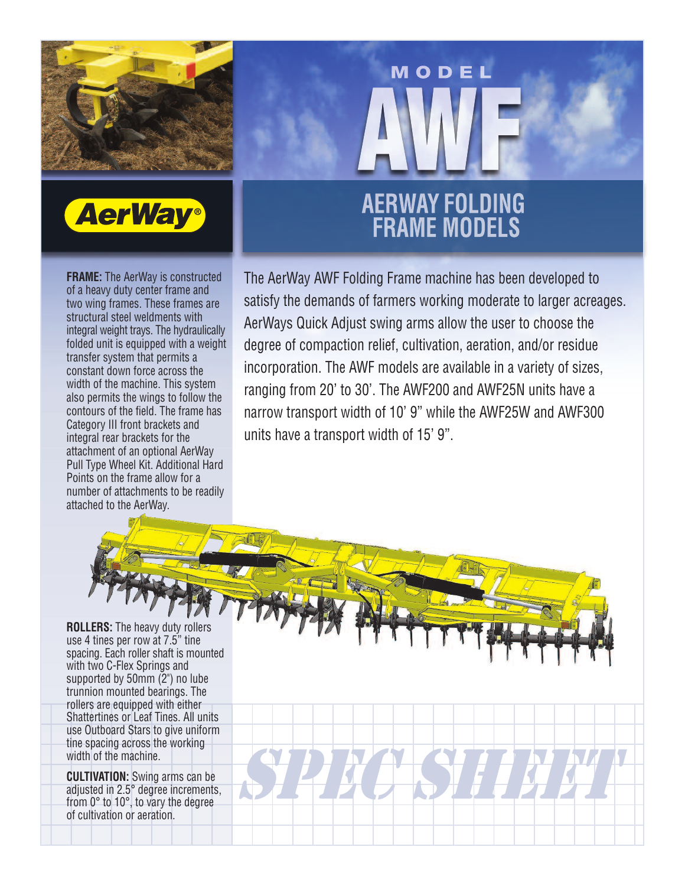



**FRAME:** The AerWay is constructed of a heavy duty center frame and two wing frames. These frames are structural steel weldments with integral weight trays. The hydraulically folded unit is equipped with a weight transfer system that permits a constant down force across the width of the machine. This system also permits the wings to follow the contours of the field. The frame has Category III front brackets and integral rear brackets for the attachment of an optional AerWay Pull Type Wheel Kit. Additional Hard Points on the frame allow for a number of attachments to be readily attached to the AerWay.

## **AERWAY FOLDING<br>FRAME MODELS**

MODEL

The AerWay AWF Folding Frame machine has been developed to satisfy the demands of farmers working moderate to larger acreages. AerWays Quick Adjust swing arms allow the user to choose the degree of compaction relief, cultivation, aeration, and/or residue incorporation. The AWF models are available in a variety of sizes, ranging from 20' to 30'. The AWF200 and AWF25N units have a narrow transport width of 10' 9" while the AWF25W and AWF300 units have a transport width of 15' 9".

SPECIES HEET

**ROLLERS:** The heavy duty rollers use 4 tines per row at 7.5" tine spacing. Each roller shaft is mounted with two C-Flex Springs and supported by 50mm (2") no lube trunnion mounted bearings. The rollers are equipped with either Shattertines or Leaf Tines. All units use Outboard Stars to give uniform tine spacing across the working width of the machine.

**CULTIVATION:** Swing arms can be adjusted in 2.5° degree increments, from 0° to 10°, to vary the degree of cultivation or aeration.